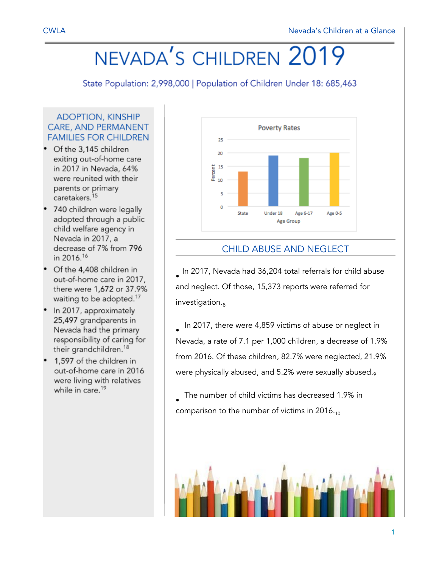# NEVADA'S CHILDREN 2019

State Population: 2,998,000 | Population of Children Under 18: 685,463

#### **ADOPTION, KINSHIP CARE, AND PERMANENT FAMILIES FOR CHILDREN**

- Of the 3,145 children exiting out-of-home care in 2017 in Nevada, 64% were reunited with their parents or primary caretakers.<sup>15</sup>
- 740 children were legally adopted through a public child welfare agency in Nevada in 2017, a decrease of 7% from 796 in 2016.<sup>16</sup>
- Of the 4,408 children in out-of-home care in 2017, there were 1,672 or 37.9% waiting to be adopted.<sup>17</sup>
- In 2017, approximately 25,497 grandparents in Nevada had the primary responsibility of caring for their grandchildren.<sup>18</sup>
- 1,597 of the children in out-of-home care in 2016 were living with relatives while in care.<sup>19</sup>



## CHILD ABUSE AND NEGLECT

• In 2017, Nevada had 36,204 total referrals for child abuse and neglect. Of those, 15,373 reports were referred for  $investigation._8$ 

• In 2017, there were 4,859 victims of abuse or neglect in Nevada, a rate of 7.1 per 1,000 children, a decrease of 1.9% from 2016. Of these children, 82.7% were neglected, 21.9% were physically abused, and 5.2% were sexually abused.9

• The number of child victims has decreased 1.9% in comparison to the number of victims in  $2016_{.10}$ 

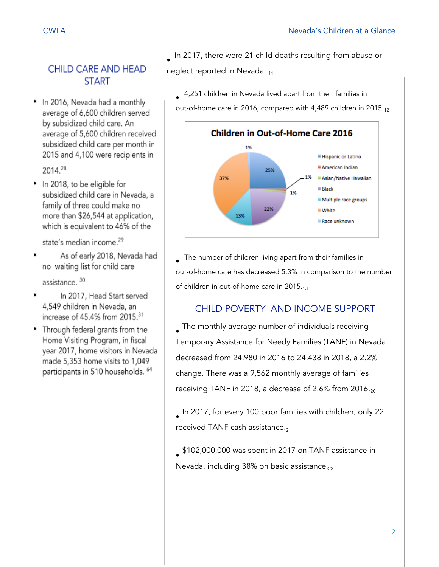# **CHILD CARE AND HEAD START**

In 2016, Nevada had a monthly average of 6,600 children served by subsidized child care. An average of 5,600 children received subsidized child care per month in 2015 and 4,100 were recipients in

2014.28

• In 2018, to be eligible for subsidized child care in Nevada, a family of three could make no more than \$26,544 at application, which is equivalent to 46% of the

state's median income.<sup>29</sup>

As of early 2018, Nevada had no waiting list for child care

assistance. 30

- In 2017, Head Start served 4,549 children in Nevada, an increase of 45.4% from 2015.31
- Through federal grants from the Home Visiting Program, in fiscal year 2017, home visitors in Nevada made 5,353 home visits to 1,049 participants in 510 households. 64

• In 2017, there were 21 child deaths resulting from abuse or neglect reported in Nevada. 11

• 4,251 children in Nevada lived apart from their families in out-of-home care in 2016, compared with 4,489 children in 2015.<sub>12</sub>



• The number of children living apart from their families in out-of-home care has decreased 5.3% in comparison to the number of children in out-of-home care in 2015.<sub>13</sub>

# CHILD POVERTY AND INCOME SUPPORT

• The monthly average number of individuals receiving Temporary Assistance for Needy Families (TANF) in Nevada decreased from 24,980 in 2016 to 24,438 in 2018, a 2.2% change. There was a 9,562 monthly average of families receiving TANF in 2018, a decrease of 2.6% from 2016. $_{20}$ 

• In 2017, for every 100 poor families with children, only 22 received TANF cash assistance. $_{21}$ 

• \$102,000,000 was spent in 2017 on TANF assistance in Nevada, including  $38\%$  on basic assistance.<sub>22</sub>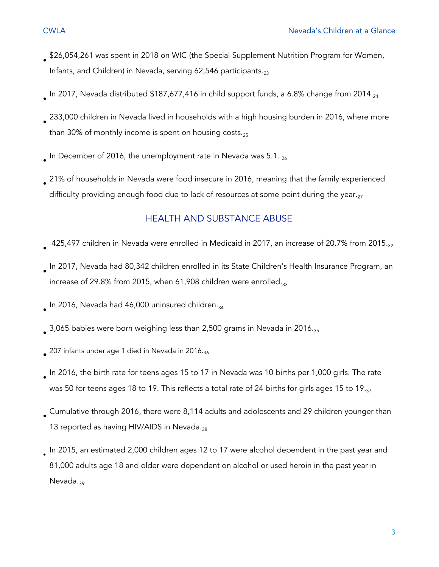- 
- \$26,054,261 was spent in 2018 on WIC (the Special Supplement Nutrition Program for Women, Infants, and Children) in Nevada, serving 62,546 participants. $_{23}$
- $_{\bullet}$  In 2017, Nevada distributed \$187,677,416 in child support funds, a 6.8% change from 2014. $_{24}$
- 233,000 children in Nevada lived in households with a high housing burden in 2016, where more than 30% of monthly income is spent on housing costs. $_{25}$
- $_{\bullet}$  In December of 2016, the unemployment rate in Nevada was 5.1.  $_{26}$
- 21% of households in Nevada were food insecure in 2016, meaning that the family experienced difficulty providing enough food due to lack of resources at some point during the year. $27$

#### HEALTH AND SUBSTANCE ABUSE

- 425,497 children in Nevada were enrolled in Medicaid in 2017, an increase of 20.7% from 2015.<sub>32</sub>
- In 2017, Nevada had 80,342 children enrolled in its State Children's Health Insurance Program, an increase of 29.8% from 2015, when 61,908 children were enrolled. $_{33}$
- $_{\bullet}$  In 2016, Nevada had 46,000 uninsured children. $_{34}$
- $_{\bullet}$  3,065 babies were born weighing less than 2,500 grams in Nevada in 2016. $_{35}$
- $_{\bullet}$  207 infants under age 1 died in Nevada in 2016. $_{36}$
- In 2016, the birth rate for teens ages 15 to 17 in Nevada was 10 births per 1,000 girls. The rate was 50 for teens ages 18 to 19. This reflects a total rate of 24 births for girls ages 15 to 19. $_{37}$
- Cumulative through 2016, there were 8,114 adults and adolescents and 29 children younger than 13 reported as having HIV/AIDS in Nevada.38
- In 2015, an estimated 2,000 children ages 12 to 17 were alcohol dependent in the past year and 81,000 adults age 18 and older were dependent on alcohol or used heroin in the past year in Nevada.<sub>39</sub>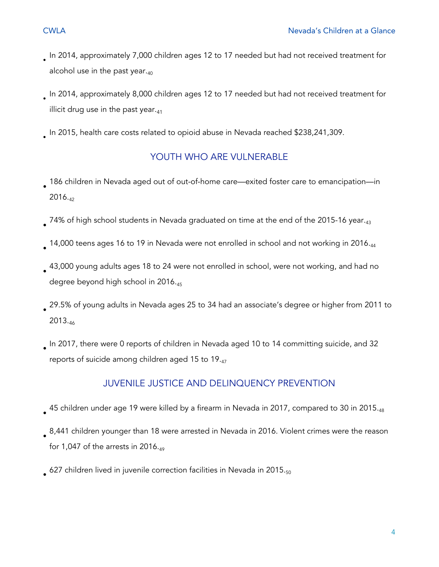- 
- In 2014, approximately 7,000 children ages 12 to 17 needed but had not received treatment for alcohol use in the past year. $_{40}$
- In 2014, approximately 8,000 children ages 12 to 17 needed but had not received treatment for illicit drug use in the past year. $_{41}$
- In 2015, health care costs related to opioid abuse in Nevada reached \$238,241,309.

## YOUTH WHO ARE VULNERABLE

- 186 children in Nevada aged out of out-of-home care—exited foster care to emancipation—in 2016.42
- $_{\bullet}$  74% of high school students in Nevada graduated on time at the end of the 2015-16 year. $_{43}$
- $_{\bullet}$  14,000 teens ages 16 to 19 in Nevada were not enrolled in school and not working in 2016. $_{44}$
- 43,000 young adults ages 18 to 24 were not enrolled in school, were not working, and had no degree beyond high school in 2016.<sub>45</sub>
- 29.5% of young adults in Nevada ages 25 to 34 had an associate's degree or higher from 2011 to 2013.<sup>46</sup>
- In 2017, there were 0 reports of children in Nevada aged 10 to 14 committing suicide, and 32 reports of suicide among children aged 15 to 19. $_{47}$

#### JUVENILE JUSTICE AND DELINQUENCY PREVENTION

- $_{\bullet}$  45 children under age 19 were killed by a firearm in Nevada in 2017, compared to 30 in 2015. $_{48}$
- 8,441 children younger than 18 were arrested in Nevada in 2016. Violent crimes were the reason for 1,047 of the arrests in 2016. $49$
- $_{\bullet}$  627 children lived in juvenile correction facilities in Nevada in 2015. $_{50}$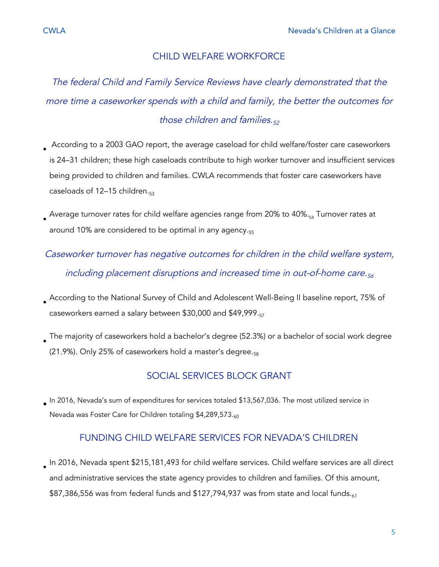The federal Child and Family Service Reviews have clearly demonstrated that the more time <sup>a</sup> caseworker spends with <sup>a</sup> child and family, the better the outcomes for those children and families. $52$ 

- According to a 2003 GAO report, the average caseload for child welfare/foster care caseworkers is 24–31 children; these high caseloads contribute to high worker turnover and insufficient services being provided to children and families. CWLA recommends that foster care caseworkers have caseloads of  $12-15$  children. $_{53}$
- $_{\bullet}$  Average turnover rates for child welfare agencies range from 20% to 40%. $_{54}$  Turnover rates at around 10% are considered to be optimal in any agency.<sub>55</sub>
- Caseworker turnover has negative outcomes for children in the child welfare system, including placement disruptions and increased time in out-of-home care. $_{56}$
- According to the National Survey of Child and Adolescent Well-Being II baseline report, 75% of caseworkers earned a salary between \$30,000 and \$49,999.57
- The majority of caseworkers hold a bachelor's degree (52.3%) or a bachelor of social work degree  $(21.9\%)$ . Only 25% of caseworkers hold a master's degree. $_{58}$

## SOCIAL SERVICES BLOCK GRANT

 $_{\bullet}$  In 2016, Nevada's sum of expenditures for services totaled \$13,567,036. The most utilized service in Nevada was Foster Care for Children totaling \$4,289,573.60

#### FUNDING CHILD WELFARE SERVICES FOR NEVADA'S CHILDREN

• In 2016, Nevada spent \$215,181,493 for child welfare services. Child welfare services are all direct and administrative services the state agency provides to children and families. Of this amount, \$87,386,556 was from federal funds and \$127,794,937 was from state and local funds. $61$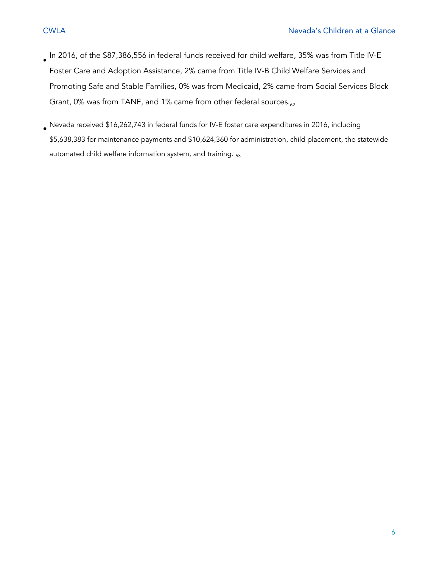- In 2016, of the \$87,386,556 in federal funds received for child welfare, 35% was from Title IV-E Foster Care and Adoption Assistance, 2% came from Title IV-B Child Welfare Services and Promoting Safe and Stable Families, 0% was from Medicaid, 2% came from Social Services Block Grant, 0% was from TANF, and 1% came from other federal sources. $_{62}$
- Nevada received \$16,262,743 in federal funds for IV-E foster care expenditures in 2016, including \$5,638,383 for maintenance payments and \$10,624,360 for administration, child placement, the statewide automated child welfare information system, and training.  $63$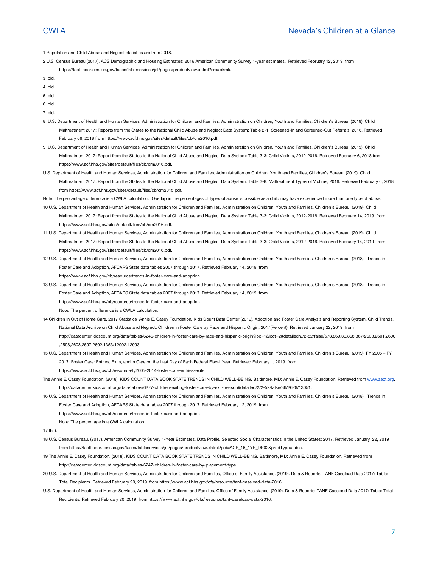1 Population and Child Abuse and Neglect statistics are from 2018.

2 U.S. Census Bureau (2017). ACS Demographic and Housing Estimates: 2016 American Community Survey 1-year estimates. Retrieved February 12, 2019 from <https://factfinder.census.gov/faces/tableservices/jsf/pages/productview.xhtml?src=bkmk>.

3 Ibid.

4 Ibid.

5 Ibid

6 Ibid.

7 Ibid.

- 8 U.S. Department of Health and Human Services, Administration for Children and Families, Administration on Children, Youth and Families, Children's Bureau. (2019). Child Maltreatment 2017: Reports from the States to the National Child Abuse and Neglect Data System: Table 2-1: Screened-In and Screened-Out Referrals, 2016. Retrieved February 06, 2018 from <https://www.acf.hhs.gov/sites/default/files/cb/cm2016.pdf>.
- 9 U.S. Department of Health and Human Services, Administration for Children and Families, Administration on Children, Youth and Families, Children's Bureau. (2019). Child Maltreatment 2017: Report from the States to the National Child Abuse and Neglect Data System: Table 3-3: Child Victims, 2012-2016. Retrieved February 6, 2018 from <https://www.acf.hhs.gov/sites/default/files/cb/cm2016.pdf>.
- U.S. Department of Health and Human Services, Administration for Children and Families, Administration on Children, Youth and Families, Children's Bureau. (2019). Child Maltreatment 2017: Report from the States to the National Child Abuse and Neglect Data System: Table 3-8: Maltreatment Types of Victims, 2016. Retrieved February 6, 2018 from [https://www.acf.hhs.gov/sites/default/files/cb/cm2015.pdf.](https://www.acf.hhs.gov/sites/default/files/cb/cm2015.pdf)
- Note: The percentage difference is a CWLA calculation. Overlap in the percentages of types of abuse is possible as a child may have experienced more than one type of abuse.
- 10 U.S. Department of Health and Human Services, Administration for Children and Families, Administration on Children, Youth and Families, Children's Bureau. (2019). Child Maltreatment 2017: Report from the States to the National Child Abuse and Neglect Data System: Table 3-3: Child Victims, 2012-2016. Retrieved February 14, 2019 from <https://www.acf.hhs.gov/sites/default/files/cb/cm2016.pdf>.
- 11 U.S. Department of Health and Human Services, Administration for Children and Families, Administration on Children, Youth and Families, Children's Bureau. (2019). Child Maltreatment 2017: Report from the States to the National Child Abuse and Neglect Data System: Table 3-3: Child Victims, 2012-2016. Retrieved February 14, 2019 from <https://www.acf.hhs.gov/sites/default/files/cb/cm2016.pdf>.
- 12 U.S. Department of Health and Human Services, Administration for Children and Families, Administration on Children, Youth and Families, Children's Bureau. (2018). Trends in Foster Care and Adoption, AFCARS State data tables 2007 through 2017. Retrieved February 14, 2019 from <https://www.acf.hhs.gov/cb/resource/trends-in-foster-care-and-adoption>
- 13 U.S. Department of Health and Human Services, Administration for Children and Families, Administration on Children, Youth and Families, Children's Bureau. (2018). Trends in Foster Care and Adoption, AFCARS State data tables 2007 through 2017. Retrieved February 14, 2019 from <https://www.acf.hhs.gov/cb/resource/trends-in-foster-care-and-adoption> Note: The percent difference is a CWLA calculation.
- 14 Children In Out of Home Care, 2017 Statistics Annie E. Casey Foundation, Kids Count Data Center.(2019). Adoption and Foster Care Analysis and Reporting System, Child Trends, National Data Archive on Child Abuse and Neglect: Children in Foster Care by Race and Hispanic Origin, 2017(Percent). Retrieved January 22, 2019 from [http://datacenter.kidscount.org/data/tables/6246-children-in-foster-care-by-race-and-hispanic-origin?loc=1&loct=2#detailed/2/2-52/false/573,869,36,868,867/2638,2601,2600](http://datacenter.kidscount.org/data/tables/6246-children-in-foster-care-by-race-and-hispanic-origin?loc=1&loct=2#detailed/2/2-52/false/573,869,36,868,867/2638,2601,2600,2598,2603,2597,2602,1353/12992,12993) [,2598,2603,2597,2602,1353/12992,12993](http://datacenter.kidscount.org/data/tables/6246-children-in-foster-care-by-race-and-hispanic-origin?loc=1&loct=2#detailed/2/2-52/false/573,869,36,868,867/2638,2601,2600,2598,2603,2597,2602,1353/12992,12993)
- 15 U.S. Department of Health and Human Services, Administration for Children and Families, Administration on Children, Youth and Families, Children's Bureau. (2019). FY 2005 FY 2017 Foster Care: Entries, Exits, and in Care on the Last Day of Each Federal Fiscal Year. Retrieved February 1, 2019 from https://www.acf.hhs.gov/cb/resource/fy2005-2014-foster-care-entries-exits.
- The Annie E. Casey Foundation. (2018). KIDS COUNT DATA BOOK STATE TRENDS IN CHILD WELL-BEING. Baltimore, MD: Annie E. Casey Foundation. Retrieved from [www.aecf.org.](http://www.aecf.org/) http://datacenter.kidscount.org/data/tables/6277-children-exiting-foster-care-by-exit- reason#detailed/2/2-52/false/36/2629/13051.
- 16 U.S. Department of Health and Human Services, Administration for Children and Families, Administration on Children, Youth and Families, Children's Bureau. (2018). Trends in Foster Care and Adoption, AFCARS State data tables 2007 through 2017. Retrieved February 12, 2019 from
	- <https://www.acf.hhs.gov/cb/resource/trends-in-foster-care-and-adoption>
	- Note: The percentage is a CWLA calculation.
- 17 Ibid.
- 18 U.S. Census Bureau. (2017). American Community Survey 1-Year Estimates, Data Profile. Selected Social Characteristics in the United States: 2017. Retrieved January 22, 2019 from [https://factfinder.census.gov/faces/tableservices/jsf/pages/productview.xhtml?pid=ACS\\_16\\_1YR\\_DP02&prodType=table.](https://factfinder.census.gov/faces/tableservices/jsf/pages/productview.xhtml?pid=ACS_16_1YR_DP02&prodType=table)
- 19 The Annie E. Casey Foundation. (2018). KIDS COUNT DATA BOOK STATE TRENDS IN CHILD WELL-BEING. Baltimore, MD: Annie E. Casey Foundation. Retrieved from [http://datacenter.kidscount.org/data/tables/6247-children-in-foster-care-by-placement-type](http://datacenter.kidscount.org/data/tables/6247-children-in-foster-care-by-placement-type#detailed/2/2-52/false/573/2622,2621,2623,2620,2625,2624,2626/12994,12995).
- 20 U.S. Department of Health and Human Services, Administration for Children and Families, Office of Family Assistance. (2019). Data & Reports: TANF Caseload Data 2017: Table: Total Recipients. Retrieved February 20, 2019 from [https://www.acf.hhs.gov/ofa/resource/tanf-caseload-data-2016.](https://www.acf.hhs.gov/ofa/resource/tanf-caseload-data-2016)
- U.S. Department of Health and Human Services, Administration for Children and Families, Office of Family Assistance. (2019). Data & Reports: TANF Caseload Data 2017: Table: Total Recipients. Retrieved February 20, 2019 from [https://www.acf.hhs.gov/ofa/resource/tanf-caseload-data-2016.](https://www.acf.hhs.gov/ofa/resource/tanf-caseload-data-2016)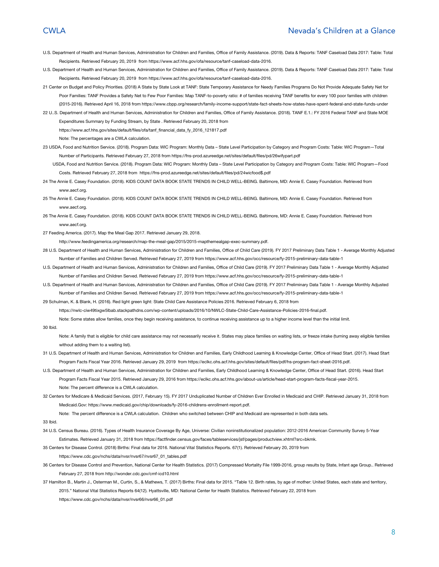#### CWLA Nevada's Children at a Glance

- U.S. Department of Health and Human Services, Administration for Children and Families, Office of Family Assistance. (2019). Data & Reports: TANF Caseload Data 2017: Table: Total Recipients. Retrieved February 20, 2019 from [https://www.acf.hhs.gov/ofa/resource/tanf-caseload-data-2016.](https://www.acf.hhs.gov/ofa/resource/tanf-caseload-data-2016)
- U.S. Department of Health and Human Services, Administration for Children and Families, Office of Family Assistance. (2019). Data & Reports: TANF Caseload Data 2017: Table: Total Recipients. Retrieved February 20, 2019 from [https://www.acf.hhs.gov/ofa/resource/tanf-caseload-data-2016.](https://www.acf.hhs.gov/ofa/resource/tanf-caseload-data-2016)
- 21 Center on Budget and Policy Priorities. (2018) A State by State Look at TANF: State Temporary Assistance for Needy Families Programs Do Not Provide Adequate Safety Net for Poor Families: TANF Provides a Safety Net to Few Poor Families: Map TANF-to-poverty ratio: # of families receiving TANF benefits for every 100 poor families with children (2015-2016). Retrieved April 16, 2018 from https://www.cbpp.org/research/family-income-support/state-fact-sheets-how-states-have-spent-federal-and-state-funds-under
- 22 U..S. Department of Health and Human Services, Administration for Children and Families, Office of Family Assistance. (2018). TANF E.1.: FY 2016 Federal TANF and State MOE Expenditures Summary by Funding Stream, by State . Retrieved February 20, 2018 from

[https://www.acf.hhs.gov/sites/default/files/ofa/tanf\\_financial\\_data\\_fy\\_2016\\_121817.pdf](https://www.acf.hhs.gov/sites/default/files/ofa/tanf_financial_data_fy_2016_121817.pdf)

Note: The percentages are a CWLA calculation.

23 USDA, Food and Nutrition Service. (2018). Program Data: WIC Program: Monthly Data – State Level Participation by Category and Program Costs: Table: WIC Program—Total Number of Participants. Retrieved February 27, 2018 from [https://fns-prod.azureedge.net/sites/default/files/pd/26wifypart.pdf](https://fnsprod.azureedge.net/sites/default/files/pd/26wifypart.pdf)

USDA, Food and Nutrition Service. (2018). Program Data: WIC Program: Monthly Data – State Level Participation by Category and Program Costs: Table: WIC Program—Food Costs. Retrieved February 27, 2018 from [https://fns-prod.azureedge.net/sites/default/files/pd/24wicfood\\$.pdf](https://fns-prod.azureedge.net/sites/default/files/pd/24wicfood$.pdf)

24 The Annie E. Casey Foundation. (2018). KIDS COUNT DATA BOOK STATE TRENDS IN CHILD WELL-BEING. Baltimore, MD: Annie E. Casey Foundation. Retrieved from www.aecf.org.

25 The Annie E. Casey Foundation. (2018). KIDS COUNT DATA BOOK STATE TRENDS IN CHILD WELL-BEING. Baltimore, MD: Annie E. Casey Foundation. Retrieved from www.aecf.org

- 26 The Annie E. Casey Foundation. (2018). KIDS COUNT DATA BOOK STATE TRENDS IN CHILD WELL-BEING. Baltimore, MD: Annie E. Casey Foundation. Retrieved from www.aecf.org.
- 27 Feeding America. (2017). Map the Meal Gap 2017. Retrieved January 29, 2018.

[http://www.feedingamerica.org/research/map-the-meal-gap/2015/2015-mapthemealgap-exec-summary.pdf.](http://www.feedingamerica.org/research/map-the-meal-gap/2015/2015-mapthemealgap-exec-summary.pdf)

- 28 U.S. Department of Health and Human Services, Administration for Children and Families, Office of Child Care (2019). FY 2017 Preliminary Data Table 1 Average Monthly Adjusted Number of Families and Children Served. Retrieved February 27, 2019 fro[m https://www.acf.hhs.gov/occ/resource/fy-2015-preliminary-data-table-1](https://www.acf.hhs.gov/occ/resource/fy-2015-preliminary-data-table-1)
- U.S. Department of Health and Human Services, Administration for Children and Families, Office of Child Care (2019). FY 2017 Preliminary Data Table 1 Average Monthly Adjusted Number of Families and Children Served. Retrieved February 27, 2019 fro[m https://www.acf.hhs.gov/occ/resource/fy-2015-preliminary-data-table-1](https://www.acf.hhs.gov/occ/resource/fy-2015-preliminary-data-table-1)
- U.S. Department of Health and Human Services, Administration for Children and Families, Office of Child Care (2019). FY 2017 Preliminary Data Table 1 Average Monthly Adjusted Number of Families and Children Served. Retrieved February 27, 2019 fro[m https://www.acf.hhs.gov/occ/resource/fy-2015-preliminary-data-table-1](https://www.acf.hhs.gov/occ/resource/fy-2015-preliminary-data-table-1)

29 Schulman, K. & Blank, H. (2016). Red light green light: State Child Care Assistance Policies 2016. Retrieved February 6, 2018 from

[https://nwlc-ciw49tixgw5lbab.stackpathdns.com/wp-content/uploads/2016/10/NWLC-State-Child-Care-Assistance-Policies-2016-final.pdf.](https://nwlc-ciw49tixgw5lbab.stackpathdns.com/wp-content/uploads/2016/10/NWLC-State-Child-Care-Assistance-Policies-2016-final.pdf)

Note: Some states allow families, once they begin receiving assistance, to continue receiving assistance up to a higher income level than the initial limit.

#### 30 Ibid.

Note: A family that is eligible for child care assistance may not necessarily receive it. States may place families on waiting lists, or freeze intake (turning away eligible families without adding them to a waiting list).

- 31 U.S. Department of Health and Human Services, Administration for Children and Families, Early Childhood Learning & Knowledge Center, Office of Head Start. (2017). Head Start Program Facts Fiscal Year 2016. Retrieved January 29, 2019 from [https://eclkc.ohs.acf.hhs.gov/sites/default/files/pdf/hs-program-fact-sheet-2016.pdf.](https://eclkc.ohs.acf.hhs.gov/sites/default/files/pdf/hs-program-fact-sheet-2016.pdf)
- U.S. Department of Health and Human Services, Administration for Children and Families, Early Childhood Learning & Knowledge Center, Office of Head Start. (2016). Head Start Program Facts Fiscal Year 2015. Retrieved January 29, 2016 from [https://eclkc.ohs.acf.hhs.gov/about-us/article/head-start-program-facts-fiscal-year-2015.](https://eclkc.ohs.acf.hhs.gov/about-us/article/head-start-program-facts-fiscal-year-2015) Note: The percent difference is a CWLA calculation.
- 32 Centers for Medicare & Medicaid Services. (2017, February 15). FY 2017 Unduplicated Number of Children Ever Enrolled in Medicaid and CHIP. Retrieved January 31, 2018 from Medicaid.Gov:<https://www.medicaid.gov/chip/downloads/fy-2016-childrens-enrollment-report.pdf>.

Note: The percent difference is a CWLA calculation. Children who switched between CHIP and Medicaid are represented in both data sets.

#### 33 Ibid.

34 U.S. Census Bureau. (2016). Types of Health Insurance Coverage By Age, Universe: Civilian noninstitutionalized population: 2012-2016 American Community Survey 5-Year Estimates. Retrieved January 31, 2018 from<https://factfinder.census.gov/faces/tableservices/jsf/pages/productview.xhtml?src=bkmk>.

35 Centers for Disease Control. (2018) Births: Final data for 2016. National Vital Statistics Reports. 67(1). Retrieved February 20, 2019 from [https://www.cdc.gov/nchs/data/nvsr/nvsr67/nvsr67\\_01\\_tables.pdf](https://www.cdc.gov/nchs/data/nvsr/nvsr67/nvsr67_01_tables.pdf)

- 36 Centers for Disease Control and Prevention, National Center for Health Statistics. (2017) Compressed Mortality File 1999-2016, group results by State, Infant age Group.. Retrieved February 27, 2018 from<http://wonder.cdc.gov/cmf-icd10.html>
- 37 Hamilton B., Martin J., Osterman M., Curtin, S., & Mathews, T. (2017) Births: Final data for 2015. "Table 12. Birth rates, by age of mother: United States, each state and territory, 2015." National Vital Statistics Reports 64(12). Hyattsville, MD: National Center for Health Statistics. Retrieved February 22, 2018 from https://www.cdc.gov/nchs/data/nvsr/nvsr66/nvsr66\_01.pdf